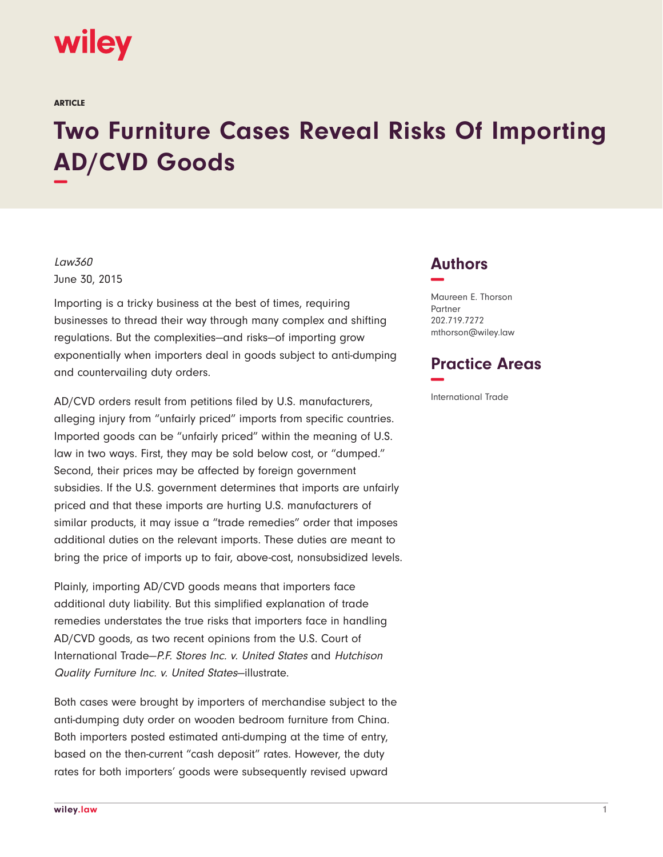# wiley

ARTICLE

# **Two Furniture Cases Reveal Risks Of Importing AD/CVD Goods −**

### Law360 June 30, 2015

Importing is a tricky business at the best of times, requiring businesses to thread their way through many complex and shifting regulations. But the complexities—and risks—of importing grow exponentially when importers deal in goods subject to anti-dumping and countervailing duty orders.

AD/CVD orders result from petitions filed by U.S. manufacturers, alleging injury from "unfairly priced" imports from specific countries. Imported goods can be "unfairly priced" within the meaning of U.S. law in two ways. First, they may be sold below cost, or "dumped." Second, their prices may be affected by foreign government subsidies. If the U.S. government determines that imports are unfairly priced and that these imports are hurting U.S. manufacturers of similar products, it may issue a "trade remedies" order that imposes additional duties on the relevant imports. These duties are meant to bring the price of imports up to fair, above-cost, nonsubsidized levels.

Plainly, importing AD/CVD goods means that importers face additional duty liability. But this simplified explanation of trade remedies understates the true risks that importers face in handling AD/CVD goods, as two recent opinions from the U.S. Court of International Trade—P.F. Stores Inc. v. United States and Hutchison Quality Furniture Inc. v. United States—illustrate.

Both cases were brought by importers of merchandise subject to the anti-dumping duty order on wooden bedroom furniture from China. Both importers posted estimated anti-dumping at the time of entry, based on the then-current "cash deposit" rates. However, the duty rates for both importers' goods were subsequently revised upward

## **Authors −**

Maureen E. Thorson Partner 202.719.7272 mthorson@wiley.law

## **Practice Areas −**

International Trade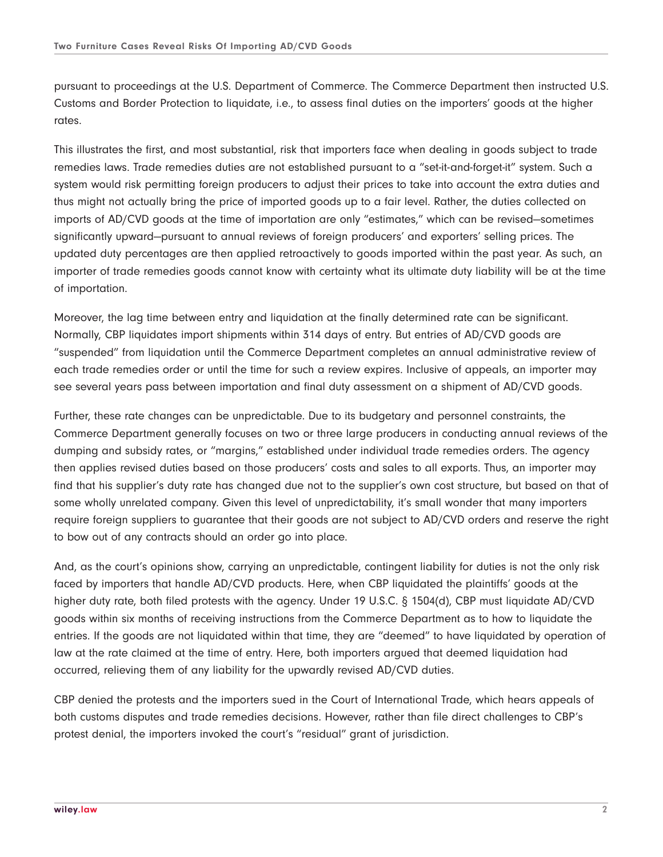pursuant to proceedings at the U.S. Department of Commerce. The Commerce Department then instructed U.S. Customs and Border Protection to liquidate, i.e., to assess final duties on the importers' goods at the higher rates.

This illustrates the first, and most substantial, risk that importers face when dealing in goods subject to trade remedies laws. Trade remedies duties are not established pursuant to a "set-it-and-forget-it" system. Such a system would risk permitting foreign producers to adjust their prices to take into account the extra duties and thus might not actually bring the price of imported goods up to a fair level. Rather, the duties collected on imports of AD/CVD goods at the time of importation are only "estimates," which can be revised—sometimes significantly upward—pursuant to annual reviews of foreign producers' and exporters' selling prices. The updated duty percentages are then applied retroactively to goods imported within the past year. As such, an importer of trade remedies goods cannot know with certainty what its ultimate duty liability will be at the time of importation.

Moreover, the lag time between entry and liquidation at the finally determined rate can be significant. Normally, CBP liquidates import shipments within 314 days of entry. But entries of AD/CVD goods are "suspended" from liquidation until the Commerce Department completes an annual administrative review of each trade remedies order or until the time for such a review expires. Inclusive of appeals, an importer may see several years pass between importation and final duty assessment on a shipment of AD/CVD goods.

Further, these rate changes can be unpredictable. Due to its budgetary and personnel constraints, the Commerce Department generally focuses on two or three large producers in conducting annual reviews of the dumping and subsidy rates, or "margins," established under individual trade remedies orders. The agency then applies revised duties based on those producers' costs and sales to all exports. Thus, an importer may find that his supplier's duty rate has changed due not to the supplier's own cost structure, but based on that of some wholly unrelated company. Given this level of unpredictability, it's small wonder that many importers require foreign suppliers to guarantee that their goods are not subject to AD/CVD orders and reserve the right to bow out of any contracts should an order go into place.

And, as the court's opinions show, carrying an unpredictable, contingent liability for duties is not the only risk faced by importers that handle AD/CVD products. Here, when CBP liquidated the plaintiffs' goods at the higher duty rate, both filed protests with the agency. Under 19 U.S.C. § 1504(d), CBP must liquidate AD/CVD goods within six months of receiving instructions from the Commerce Department as to how to liquidate the entries. If the goods are not liquidated within that time, they are "deemed" to have liquidated by operation of law at the rate claimed at the time of entry. Here, both importers argued that deemed liquidation had occurred, relieving them of any liability for the upwardly revised AD/CVD duties.

CBP denied the protests and the importers sued in the Court of International Trade, which hears appeals of both customs disputes and trade remedies decisions. However, rather than file direct challenges to CBP's protest denial, the importers invoked the court's "residual" grant of jurisdiction.